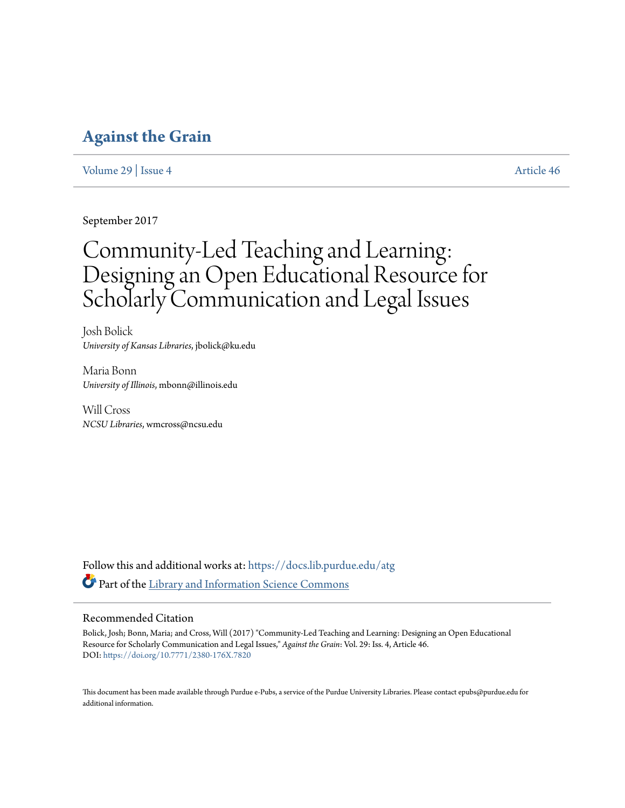# **[Against the Grain](https://docs.lib.purdue.edu/atg?utm_source=docs.lib.purdue.edu%2Fatg%2Fvol29%2Fiss4%2F46&utm_medium=PDF&utm_campaign=PDFCoverPages)**

[Volume 29](https://docs.lib.purdue.edu/atg/vol29?utm_source=docs.lib.purdue.edu%2Fatg%2Fvol29%2Fiss4%2F46&utm_medium=PDF&utm_campaign=PDFCoverPages) | [Issue 4](https://docs.lib.purdue.edu/atg/vol29/iss4?utm_source=docs.lib.purdue.edu%2Fatg%2Fvol29%2Fiss4%2F46&utm_medium=PDF&utm_campaign=PDFCoverPages) [Article 46](https://docs.lib.purdue.edu/atg/vol29/iss4/46?utm_source=docs.lib.purdue.edu%2Fatg%2Fvol29%2Fiss4%2F46&utm_medium=PDF&utm_campaign=PDFCoverPages)

September 2017

# Community-Led Teaching and Learning: Designing an Open Educational Resource for Scholarly Communication and Legal Issues

Josh Bolick *University of Kansas Libraries*, jbolick@ku.edu

Maria Bonn *University of Illinois*, mbonn@illinois.edu

Will Cross *NCSU Libraries*, wmcross@ncsu.edu

Follow this and additional works at: [https://docs.lib.purdue.edu/atg](https://docs.lib.purdue.edu/atg?utm_source=docs.lib.purdue.edu%2Fatg%2Fvol29%2Fiss4%2F46&utm_medium=PDF&utm_campaign=PDFCoverPages) Part of the [Library and Information Science Commons](http://network.bepress.com/hgg/discipline/1018?utm_source=docs.lib.purdue.edu%2Fatg%2Fvol29%2Fiss4%2F46&utm_medium=PDF&utm_campaign=PDFCoverPages)

## Recommended Citation

Bolick, Josh; Bonn, Maria; and Cross, Will (2017) "Community-Led Teaching and Learning: Designing an Open Educational Resource for Scholarly Communication and Legal Issues," *Against the Grain*: Vol. 29: Iss. 4, Article 46. DOI: <https://doi.org/10.7771/2380-176X.7820>

This document has been made available through Purdue e-Pubs, a service of the Purdue University Libraries. Please contact epubs@purdue.edu for additional information.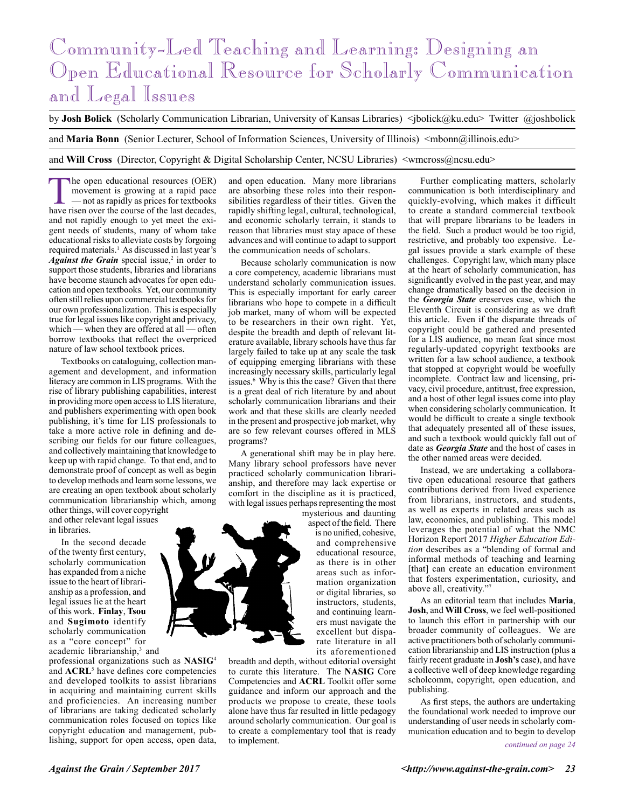# Community-Led Teaching and Learning: Designing an Open Educational Resource for Scholarly Communication and Legal Issues

by **Josh Bolick** (Scholarly Communication Librarian, University of Kansas Libraries) <jbolick@ku.edu> Twitter @joshbolick

and Maria Bonn (Senior Lecturer, School of Information Sciences, University of Illinois) <mbonn@illinois.edu>

and **Will Cross** (Director, Copyright & Digital Scholarship Center, NCSU Libraries) <wmcross@ncsu.edu>

The open educational resources (OER)<br>
movement is growing at a rapid pace<br>
— not as rapidly as prices for textbooks<br>
have risen over the course of the last decades movement is growing at a rapid pace have risen over the course of the last decades, and not rapidly enough to yet meet the exigent needs of students, many of whom take educational risks to alleviate costs by forgoing required materials.<sup>1</sup> As discussed in last year's Against the Grain special issue,<sup>2</sup> in order to support those students, libraries and librarians have become staunch advocates for open education and open textbooks. Yet, our community often still relies upon commercial textbooks for our own professionalization. This is especially true for legal issues like copyright and privacy, which — when they are offered at all — often borrow textbooks that reflect the overpriced nature of law school textbook prices.

Textbooks on cataloguing, collection management and development, and information literacy are common in LIS programs. With the rise of library publishing capabilities, interest in providing more open access to LIS literature, and publishers experimenting with open book publishing, it's time for LIS professionals to take a more active role in defining and describing our fields for our future colleagues, and collectively maintaining that knowledge to keep up with rapid change. To that end, and to demonstrate proof of concept as well as begin to develop methods and learn some lessons, we are creating an open textbook about scholarly communication librarianship which, among other things, will cover copyright and other relevant legal issues

in libraries. In the second decade

of the twenty first century, scholarly communication has expanded from a niche issue to the heart of librarianship as a profession, and legal issues lie at the heart of this work. **Finlay**, **Tsou** and **Sugimoto** identify scholarly communication as a "core concept" for academic librarianship,<sup>3</sup> and

professional organizations such as **NASIG**<sup>4</sup> and **ACRL**<sup>5</sup> have defines core competencies and developed toolkits to assist librarians in acquiring and maintaining current skills and proficiencies. An increasing number of librarians are taking dedicated scholarly communication roles focused on topics like copyright education and management, publishing, support for open access, open data,

and open education. Many more librarians are absorbing these roles into their responsibilities regardless of their titles. Given the rapidly shifting legal, cultural, technological, and economic scholarly terrain, it stands to reason that libraries must stay apace of these advances and will continue to adapt to support the communication needs of scholars.

Because scholarly communication is now a core competency, academic librarians must understand scholarly communication issues. This is especially important for early career librarians who hope to compete in a difficult job market, many of whom will be expected to be researchers in their own right. Yet, despite the breadth and depth of relevant literature available, library schools have thus far largely failed to take up at any scale the task of equipping emerging librarians with these increasingly necessary skills, particularly legal issues.6 Why is this the case? Given that there is a great deal of rich literature by and about scholarly communication librarians and their work and that these skills are clearly needed in the present and prospective job market, why are so few relevant courses offered in MLS programs?

A generational shift may be in play here. Many library school professors have never practiced scholarly communication librarianship, and therefore may lack expertise or comfort in the discipline as it is practiced, with legal issues perhaps representing the most

mysterious and daunting aspect of the field. There is no unified, cohesive, and comprehensive educational resource, as there is in other areas such as information organization or digital libraries, so instructors, students, and continuing learners must navigate the excellent but disparate literature in all its aforementioned

breadth and depth, without editorial oversight to curate this literature. The **NASIG** Core Competencies and **ACRL** Toolkit offer some guidance and inform our approach and the products we propose to create, these tools alone have thus far resulted in little pedagogy around scholarly communication. Our goal is to create a complementary tool that is ready to implement.

Further complicating matters, scholarly communication is both interdisciplinary and quickly-evolving, which makes it difficult to create a standard commercial textbook that will prepare librarians to be leaders in the field. Such a product would be too rigid, restrictive, and probably too expensive. Legal issues provide a stark example of these challenges. Copyright law, which many place at the heart of scholarly communication, has significantly evolved in the past year, and may change dramatically based on the decision in the *Georgia State* ereserves case, which the Eleventh Circuit is considering as we draft this article. Even if the disparate threads of copyright could be gathered and presented for a LIS audience, no mean feat since most regularly-updated copyright textbooks are written for a law school audience, a textbook that stopped at copyright would be woefully incomplete. Contract law and licensing, privacy, civil procedure, antitrust, free expression, and a host of other legal issues come into play when considering scholarly communication. It would be difficult to create a single textbook that adequately presented all of these issues, and such a textbook would quickly fall out of date as *Georgia State* and the host of cases in the other named areas were decided.

Instead, we are undertaking a collaborative open educational resource that gathers contributions derived from lived experience from librarians, instructors, and students, as well as experts in related areas such as law, economics, and publishing. This model leverages the potential of what the NMC Horizon Report 2017 *Higher Education Edition* describes as a "blending of formal and informal methods of teaching and learning [that] can create an education environment that fosters experimentation, curiosity, and above all, creativity."

As an editorial team that includes **Maria**, **Josh**, and **Will Cross**, we feel well-positioned to launch this effort in partnership with our broader community of colleagues. We are active practitioners both of scholarly communication librarianship and LIS instruction (plus a fairly recent graduate in **Josh's** case), and have a collective well of deep knowledge regarding scholcomm, copyright, open education, and publishing.

As first steps, the authors are undertaking the foundational work needed to improve our understanding of user needs in scholarly communication education and to begin to develop

*continued on page 24*